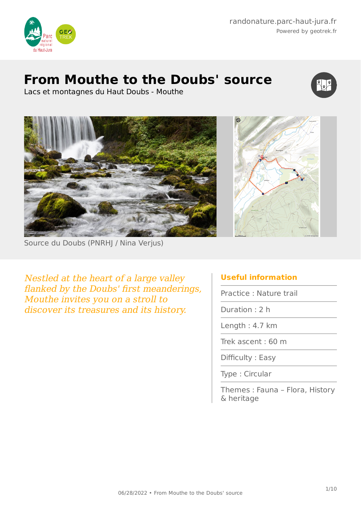

# **From Mouthe to the Doubs' source**

Lacs et montagnes du Haut Doubs - Mouthe





Source du Doubs (PNRHJ / Nina Verjus)



Nestled at the heart of a large valley flanked by the Doubs' first meanderings, Mouthe invites you on a stroll to discover its treasures and its history.

## **Useful information**

Practice : Nature trail

Duration : 2 h

Length : 4.7 km

Trek ascent : 60 m

Difficulty : Easy

Type : Circular

Themes : Fauna – Flora, History & heritage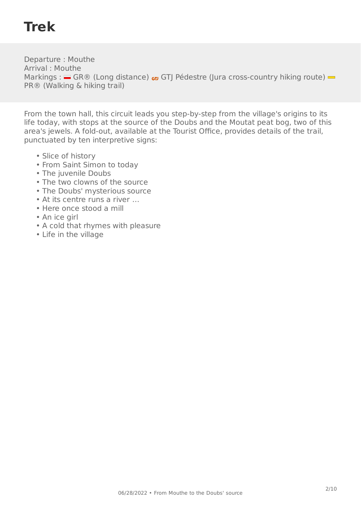# **Trek**

Departure : Mouthe Arrival : Mouthe Markings : GR® (Long distance)  $G$  GTJ Pédestre (Jura cross-country hiking route)  $\equiv$ PR® (Walking & hiking trail)

From the town hall, this circuit leads you step-by-step from the village's origins to its life today, with stops at the source of the Doubs and the Moutat peat bog, two of this area's jewels. A fold-out, available at the Tourist Office, provides details of the trail, punctuated by ten interpretive signs:

- Slice of history
- From Saint Simon to today
- The juvenile Doubs •
- The two clowns of the source
- The Doubs' mysterious source •
- At its centre runs a river ...
- Here once stood a mill
- An ice girl
- A cold that rhymes with pleasure
- Life in the village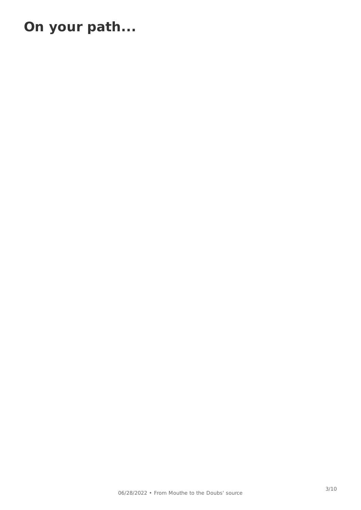# **On your path...**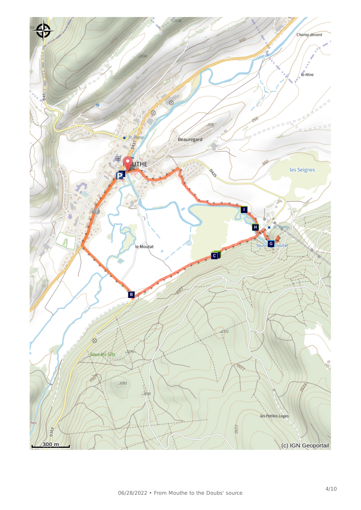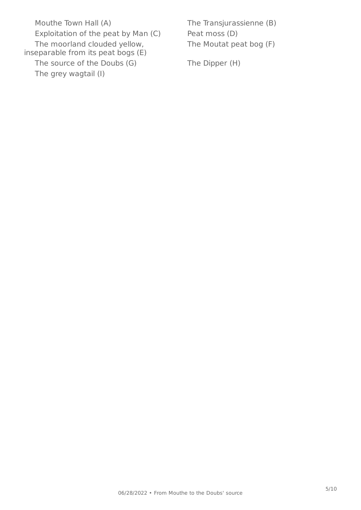Mouthe Town Hall (A) The Transjurassienne (B) Exploitation of the peat by Man (C) Peat moss (D) The moorland clouded yellow, inseparable from its peat bogs (E) The source of the Doubs (G) The Dipper (H) The grey wagtail (I)

The Moutat peat bog (F)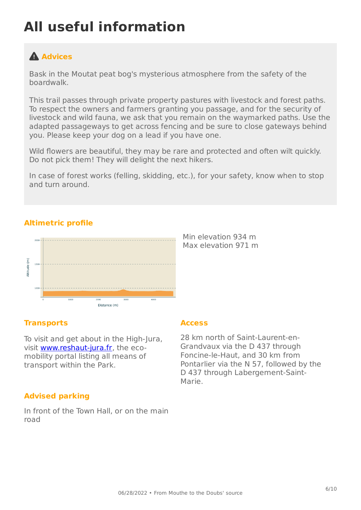# **All useful information**

# **Advices**

Bask in the Moutat peat bog's mysterious atmosphere from the safety of the boardwalk.

This trail passes through private property pastures with livestock and forest paths. To respect the owners and farmers granting you passage, and for the security of livestock and wild fauna, we ask that you remain on the waymarked paths. Use the adapted passageways to get across fencing and be sure to close gateways behind you. Please keep your dog on a lead if you have one.

Wild flowers are beautiful, they may be rare and protected and often wilt quickly. Do not pick them! They will delight the next hikers.

In case of forest works (felling, skidding, etc.), for your safety, know when to stop and turn around.

#### **Altimetric profile**



Min elevation 934 m Max elevation 971 m

#### **Transports**

To visit and get about in the High-Jura, visit [www.reshaut-jura.fr](http://www.reshaut-jura.fr/), the ecomobility portal listing all means of transport within the Park.

#### **Access**

28 km north of Saint-Laurent-en-Grandvaux via the D 437 through Foncine-le-Haut, and 30 km from Pontarlier via the N 57, followed by the D 437 through Labergement-Saint-Marie.

#### **Advised parking**

In front of the Town Hall, or on the main road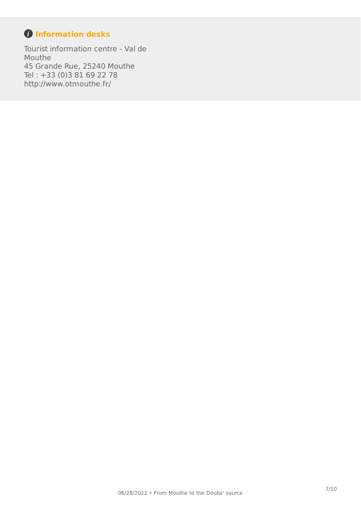# **Information desks**

Tourist information centre - Val de Mouthe 45 Grande Rue, 25240 Mouthe Tel : +33 (0)3 81 69 22 78 <http://www.otmouthe.fr/>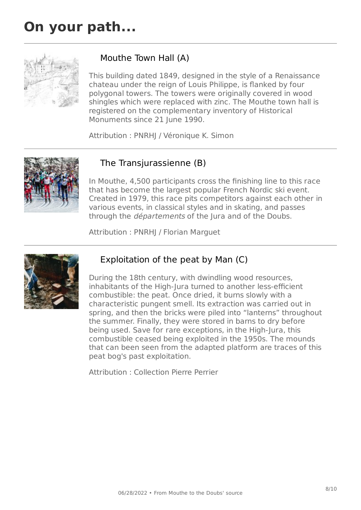# **On your path...**



### Mouthe Town Hall (A)

This building dated 1849, designed in the style of a Renaissance chateau under the reign of Louis Philippe, is flanked by four polygonal towers. The towers were originally covered in wood shingles which were replaced with zinc. The Mouthe town hall is registered on the complementary inventory of Historical Monuments since 21 June 1990.

Attribution : PNRHJ / Véronique K. Simon



#### The Transjurassienne (B)

In Mouthe, 4,500 participants cross the finishing line to this race that has become the largest popular French Nordic ski event. Created in 1979, this race pits competitors against each other in various events, in classical styles and in skating, and passes through the *départements* of the Jura and of the Doubs.

Attribution : PNRHJ / Florian Marguet



### Exploitation of the peat by Man (C)

During the 18th century, with dwindling wood resources, inhabitants of the High-Jura turned to another less-efficient combustible: the peat. Once dried, it burns slowly with a characteristic pungent smell. Its extraction was carried out in spring, and then the bricks were piled into "lanterns" throughout the summer. Finally, they were stored in barns to dry before being used. Save for rare exceptions, in the High-Jura, this combustible ceased being exploited in the 1950s. The mounds that can been seen from the adapted platform are traces of this peat bog's past exploitation.

Attribution : Collection Pierre Perrier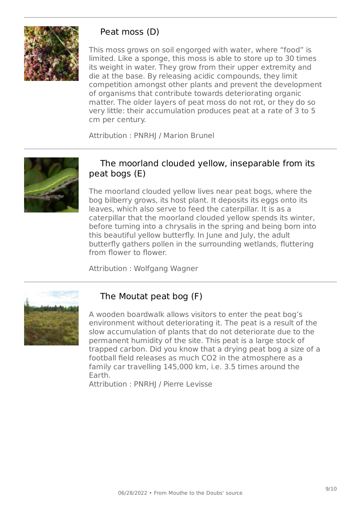

## Peat moss (D)

This moss grows on soil engorged with water, where "food" is limited. Like a sponge, this moss is able to store up to 30 times its weight in water. They grow from their upper extremity and die at the base. By releasing acidic compounds, they limit competition amongst other plants and prevent the development of organisms that contribute towards deteriorating organic matter. The older layers of peat moss do not rot, or they do so very little: their accumulation produces peat at a rate of 3 to 5 cm per century.

Attribution : PNRHJ / Marion Brunel



### The moorland clouded yellow, inseparable from its peat bogs (E)

The moorland clouded yellow lives near peat bogs, where the bog bilberry grows, its host plant. It deposits its eggs onto its leaves, which also serve to feed the caterpillar. It is as a caterpillar that the moorland clouded yellow spends its winter, before turning into a chrysalis in the spring and being born into this beautiful yellow butterfly. In June and July, the adult butterfly gathers pollen in the surrounding wetlands, fluttering from flower to flower.

Attribution : Wolfgang Wagner



### The Moutat peat bog (F)

A wooden boardwalk allows visitors to enter the peat bog's environment without deteriorating it. The peat is a result of the slow accumulation of plants that do not deteriorate due to the permanent humidity of the site. This peat is a large stock of trapped carbon. Did you know that a drying peat bog a size of a football field releases as much CO2 in the atmosphere as a family car travelling 145,000 km, i.e. 3.5 times around the Earth.

Attribution : PNRHJ / Pierre Levisse